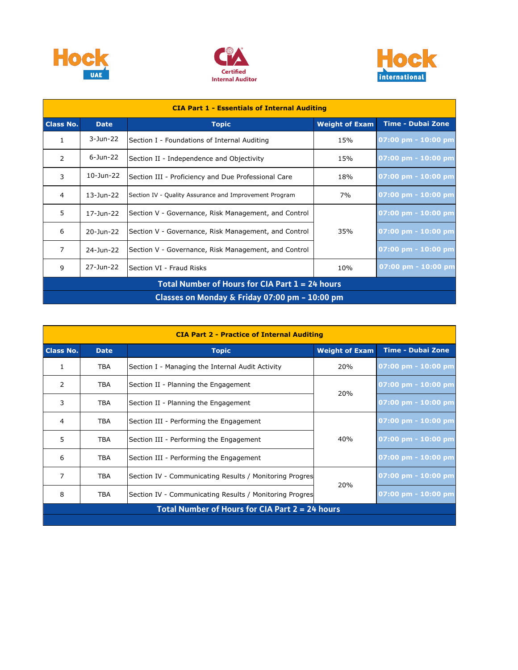

**I** 





| <b>CIA Part 1 - Essentials of Internal Auditing</b> |             |                                                        |                       |                          |  |  |  |
|-----------------------------------------------------|-------------|--------------------------------------------------------|-----------------------|--------------------------|--|--|--|
| <b>Class No.</b>                                    | <b>Date</b> | <b>Topic</b>                                           | <b>Weight of Exam</b> | <b>Time - Dubai Zone</b> |  |  |  |
| 1                                                   | 3-Jun-22    | Section I - Foundations of Internal Auditing           | 15%                   | 07:00 pm - 10:00 pm      |  |  |  |
| 2                                                   | $6$ -Jun-22 | Section II - Independence and Objectivity              | 15%                   | 07:00 pm - 10:00 pm      |  |  |  |
| 3                                                   | 10-Jun-22   | Section III - Proficiency and Due Professional Care    | 18%                   | 07:00 pm - 10:00 pm      |  |  |  |
| 4                                                   | 13-Jun-22   | Section IV - Quality Assurance and Improvement Program | 7%                    | 07:00 pm - 10:00 pm      |  |  |  |
| 5                                                   | 17-Jun-22   | Section V - Governance, Risk Management, and Control   |                       | 07:00 pm - 10:00 pm      |  |  |  |
| 6                                                   | 20-Jun-22   | Section V - Governance, Risk Management, and Control   | 35%                   | 07:00 pm - 10:00 pm      |  |  |  |
| 7                                                   | 24-Jun-22   | Section V - Governance, Risk Management, and Control   |                       | 07:00 pm - 10:00 pm      |  |  |  |
| 9                                                   | 27-Jun-22   | Section VI - Fraud Risks                               | 10%                   | 07:00 pm $- 10:00$ pm    |  |  |  |
| Total Number of Hours for CIA Part 1 = 24 hours     |             |                                                        |                       |                          |  |  |  |
| Classes on Monday & Friday 07:00 pm - 10:00 pm      |             |                                                        |                       |                          |  |  |  |

| <b>CIA Part 2 - Practice of Internal Auditing</b> |             |                                                         |                       |                          |  |  |  |
|---------------------------------------------------|-------------|---------------------------------------------------------|-----------------------|--------------------------|--|--|--|
| <b>Class No.</b>                                  | <b>Date</b> | <b>Topic</b>                                            | <b>Weight of Exam</b> | <b>Time - Dubai Zone</b> |  |  |  |
| 1                                                 | <b>TBA</b>  | Section I - Managing the Internal Audit Activity        | 20%                   | 07:00 pm - 10:00 pm      |  |  |  |
| $\mathcal{L}$                                     | TBA         | Section II - Planning the Engagement                    | 20%                   | 07:00 pm - 10:00 pm      |  |  |  |
| 3                                                 | <b>TBA</b>  | Section II - Planning the Engagement                    |                       | 07:00 pm - 10:00 pm      |  |  |  |
| 4                                                 | <b>TBA</b>  | Section III - Performing the Engagement                 | 40%                   | 07:00 pm - 10:00 pm      |  |  |  |
| 5                                                 | <b>TBA</b>  | Section III - Performing the Engagement                 |                       | 07:00 pm - 10:00 pm      |  |  |  |
| 6                                                 | <b>TBA</b>  | Section III - Performing the Engagement                 |                       | 07:00 pm - 10:00 pm      |  |  |  |
| 7                                                 | <b>TBA</b>  | Section IV - Communicating Results / Monitoring Progres | 20%                   | 07:00 pm - 10:00 pm      |  |  |  |
| 8                                                 | TBA         | Section IV - Communicating Results / Monitoring Progres |                       | $07:00$ pm - $10:00$ pm  |  |  |  |
| Total Number of Hours for CIA Part 2 = 24 hours   |             |                                                         |                       |                          |  |  |  |